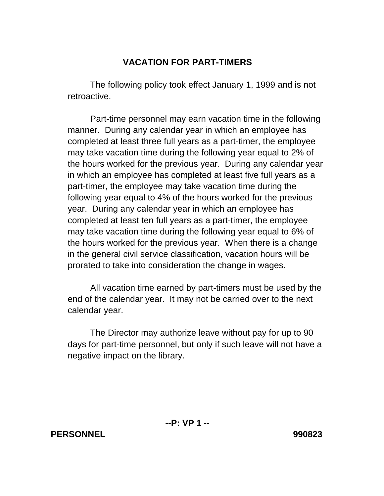## **VACATION FOR PART-TIMERS**

 The following policy took effect January 1, 1999 and is not retroactive.

 Part-time personnel may earn vacation time in the following manner. During any calendar year in which an employee has completed at least three full years as a part-timer, the employee may take vacation time during the following year equal to 2% of the hours worked for the previous year. During any calendar year in which an employee has completed at least five full years as a part-timer, the employee may take vacation time during the following year equal to 4% of the hours worked for the previous year. During any calendar year in which an employee has completed at least ten full years as a part-timer, the employee may take vacation time during the following year equal to 6% of the hours worked for the previous year. When there is a change in the general civil service classification, vacation hours will be prorated to take into consideration the change in wages.

 All vacation time earned by part-timers must be used by the end of the calendar year. It may not be carried over to the next calendar year.

 The Director may authorize leave without pay for up to 90 days for part-time personnel, but only if such leave will not have a negative impact on the library.

## **PERSONNEL 990823**